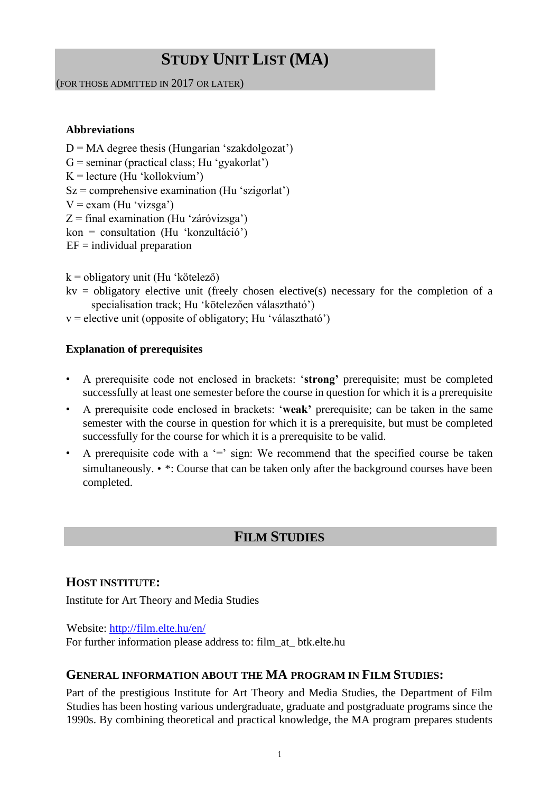# **STUDY UNIT LIST (MA)**

#### (FOR THOSE ADMITTED IN 2017 OR LATER)

#### **Abbreviations**

 $D = MA$  degree thesis (Hungarian 'szakdolgozat')  $G =$  seminar (practical class; Hu 'gyakorlat')  $K =$  lecture (Hu 'kollokvium')  $Sz =$  comprehensive examination (Hu 'szigorlat')  $V = e$ xam (Hu 'vizsga')  $Z =$  final examination (Hu 'záróvizsga') kon = consultation (Hu 'konzultáció')  $EF = individual preparation$ 

 $k =$ obligatory unit (Hu 'kötelező)

- $kv = obligatory$  elective unit (freely chosen elective(s) necessary for the completion of a specialisation track; Hu 'kötelezően választható')
- v = elective unit (opposite of obligatory; Hu 'választható')

#### **Explanation of prerequisites**

- A prerequisite code not enclosed in brackets: '**strong'** prerequisite; must be completed successfully at least one semester before the course in question for which it is a prerequisite
- A prerequisite code enclosed in brackets: '**weak'** prerequisite; can be taken in the same semester with the course in question for which it is a prerequisite, but must be completed successfully for the course for which it is a prerequisite to be valid.
- A prerequisite code with a  $\epsilon$  sign: We recommend that the specified course be taken simultaneously. • \*: Course that can be taken only after the background courses have been completed.

# **FILM STUDIES**

## **HOST INSTITUTE:**

Institute for Art Theory and Media Studies

Website: <http://film.elte.hu/en/>

For further information please address to: film\_at\_ btk.elte.hu

# **GENERAL INFORMATION ABOUT THE MA PROGRAM IN FILM STUDIES:**

Part of the prestigious Institute for Art Theory and Media Studies, the Department of Film Studies has been hosting various undergraduate, graduate and postgraduate programs since the 1990s. By combining theoretical and practical knowledge, the MA program prepares students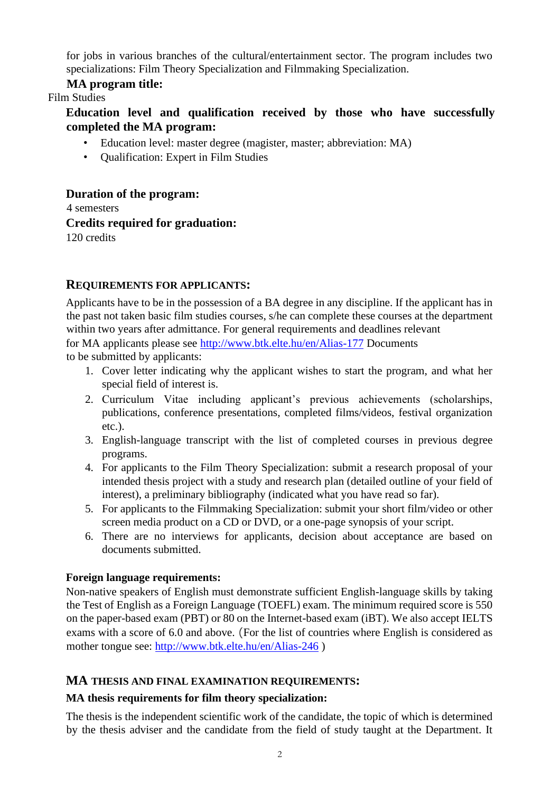for jobs in various branches of the cultural/entertainment sector. The program includes two specializations: Film Theory Specialization and Filmmaking Specialization.

# **MA program title:**

Film Studies

# **Education level and qualification received by those who have successfully completed the MA program:**

- Education level: master degree (magister, master; abbreviation: MA)
- Qualification: Expert in Film Studies

## **Duration of the program:**

4 semesters

## **Credits required for graduation:**

120 credits

# **REQUIREMENTS FOR APPLICANTS:**

Applicants have to be in the possession of a BA degree in any discipline. If the applicant has in the past not taken basic film studies courses, s/he can complete these courses at the department within two years after admittance. For general requirements and deadlines relevant for MA applicants please se[e](http://www.btk.elte.hu/en/Alias-177) <http://www.btk.elte.hu/en/Alias-177> Documents to be submitted by applicants:

- 1. Cover letter indicating why the applicant wishes to start the program, and what her special field of interest is.
- 2. Curriculum Vitae including applicant's previous achievements (scholarships, publications, conference presentations, completed films/videos, festival organization etc.).
- 3. English-language transcript with the list of completed courses in previous degree programs.
- 4. For applicants to the Film Theory Specialization: submit a research proposal of your intended thesis project with a study and research plan (detailed outline of your field of interest), a preliminary bibliography (indicated what you have read so far).
- 5. For applicants to the Filmmaking Specialization: submit your short film/video or other screen media product on a CD or DVD, or a one-page synopsis of your script.
- 6. There are no interviews for applicants, decision about acceptance are based on documents submitted.

## **Foreign language requirements:**

Non-native speakers of English must demonstrate sufficient English-language skills by taking the Test of English as a Foreign Language (TOEFL) exam. The minimum required score is 550 on the paper-based exam (PBT) or 80 on the Internet-based exam (iBT). We also accept IELTS exams with a score of 6.0 and above. (For the list of countries where English is considered as mother tongue see: <http://www.btk.elte.hu/en/Alias-246> [\)](http://www.btk.elte.hu/en/Alias-246)

# **MA THESIS AND FINAL EXAMINATION REQUIREMENTS:**

# **MA thesis requirements for film theory specialization:**

The thesis is the independent scientific work of the candidate, the topic of which is determined by the thesis adviser and the candidate from the field of study taught at the Department. It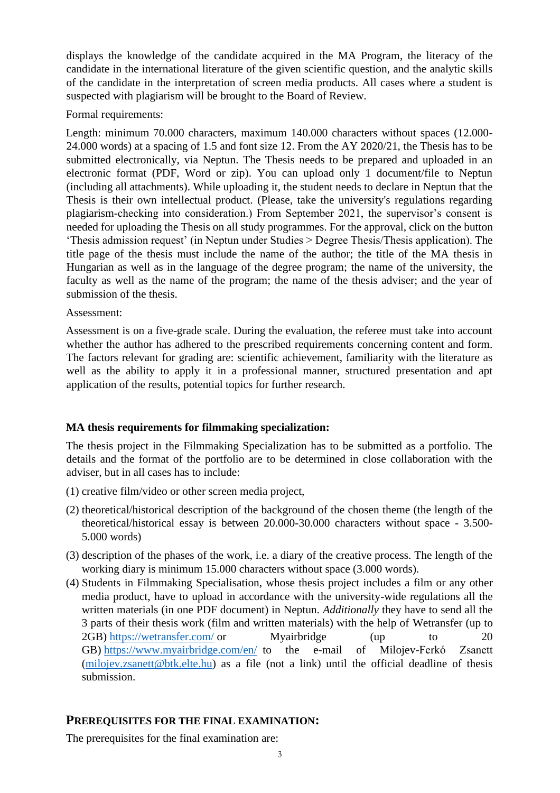displays the knowledge of the candidate acquired in the MA Program, the literacy of the candidate in the international literature of the given scientific question, and the analytic skills of the candidate in the interpretation of screen media products. All cases where a student is suspected with plagiarism will be brought to the Board of Review.

#### Formal requirements:

Length: minimum 70.000 characters, maximum 140.000 characters without spaces (12.000- 24.000 words) at a spacing of 1.5 and font size 12. From the AY 2020/21, the Thesis has to be submitted electronically, via Neptun. The Thesis needs to be prepared and uploaded in an electronic format (PDF, Word or zip). You can upload only 1 document/file to Neptun (including all attachments). While uploading it, the student needs to declare in Neptun that the Thesis is their own intellectual product. (Please, take the university's regulations regarding plagiarism-checking into consideration.) From September 2021, the supervisor's consent is needed for uploading the Thesis on all study programmes. For the approval, click on the button 'Thesis admission request' (in Neptun under Studies > Degree Thesis/Thesis application). The title page of the thesis must include the name of the author; the title of the MA thesis in Hungarian as well as in the language of the degree program; the name of the university, the faculty as well as the name of the program; the name of the thesis adviser; and the year of submission of the thesis.

#### Assessment:

Assessment is on a five-grade scale. During the evaluation, the referee must take into account whether the author has adhered to the prescribed requirements concerning content and form. The factors relevant for grading are: scientific achievement, familiarity with the literature as well as the ability to apply it in a professional manner, structured presentation and apt application of the results, potential topics for further research.

## **MA thesis requirements for filmmaking specialization:**

The thesis project in the Filmmaking Specialization has to be submitted as a portfolio. The details and the format of the portfolio are to be determined in close collaboration with the adviser, but in all cases has to include:

- (1) creative film/video or other screen media project,
- (2) theoretical/historical description of the background of the chosen theme (the length of the theoretical/historical essay is between 20.000-30.000 characters without space - 3.500- 5.000 words)
- (3) description of the phases of the work, i.e. a diary of the creative process. The length of the working diary is minimum 15.000 characters without space (3.000 words).
- (4) Students in Filmmaking Specialisation, whose thesis project includes a film or any other media product, have to upload in accordance with the university-wide regulations all the written materials (in one PDF document) in Neptun. *Additionally* they have to send all the 3 parts of their thesis work (film and written materials) with the help of Wetransfer (up to 2GB) <https://wetransfer.com/> or Myairbridge (up to 20 GB) <https://www.myairbridge.com/en/> to the e-mail of Milojev-Ferkó Zsanett  $(milojev.zsanett@btk.elte.hu)$  as a file (not a link) until the official deadline of thesis submission.

## **PREREQUISITES FOR THE FINAL EXAMINATION:**

The prerequisites for the final examination are: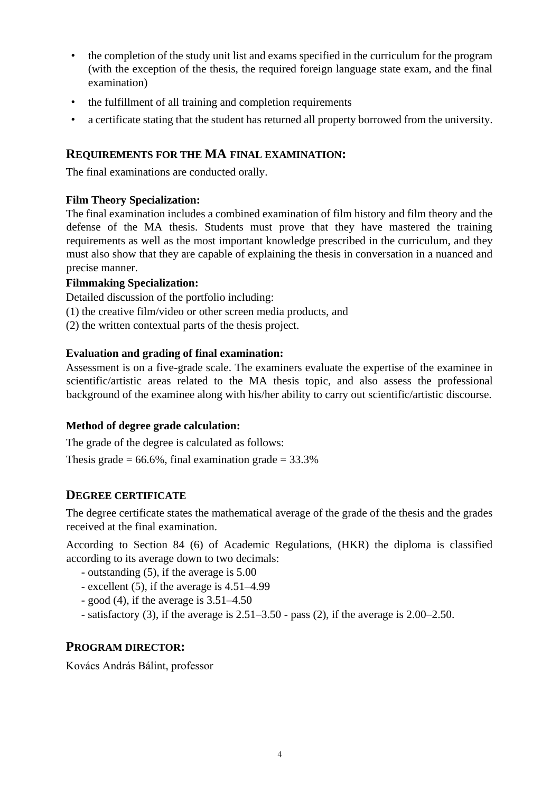- the completion of the study unit list and exams specified in the curriculum for the program (with the exception of the thesis, the required foreign language state exam, and the final examination)
- the fulfillment of all training and completion requirements
- a certificate stating that the student has returned all property borrowed from the university.

# **REQUIREMENTS FOR THE MA FINAL EXAMINATION:**

The final examinations are conducted orally.

## **Film Theory Specialization:**

The final examination includes a combined examination of film history and film theory and the defense of the MA thesis. Students must prove that they have mastered the training requirements as well as the most important knowledge prescribed in the curriculum, and they must also show that they are capable of explaining the thesis in conversation in a nuanced and precise manner.

#### **Filmmaking Specialization:**

Detailed discussion of the portfolio including:

- (1) the creative film/video or other screen media products, and
- (2) the written contextual parts of the thesis project.

#### **Evaluation and grading of final examination:**

Assessment is on a five-grade scale. The examiners evaluate the expertise of the examinee in scientific/artistic areas related to the MA thesis topic, and also assess the professional background of the examinee along with his/her ability to carry out scientific/artistic discourse.

## **Method of degree grade calculation:**

The grade of the degree is calculated as follows:

Thesis grade  $= 66.6\%$ , final examination grade  $= 33.3\%$ 

# **DEGREE CERTIFICATE**

The degree certificate states the mathematical average of the grade of the thesis and the grades received at the final examination.

According to Section 84 (6) of Academic Regulations, (HKR) the diploma is classified according to its average down to two decimals:

- outstanding (5), if the average is 5.00
- excellent (5), if the average is 4.51–4.99
- good  $(4)$ , if the average is  $3.51-4.50$
- satisfactory (3), if the average is  $2.51-3.50$  pass (2), if the average is  $2.00-2.50$ .

## **PROGRAM DIRECTOR:**

Kovács András Bálint, professor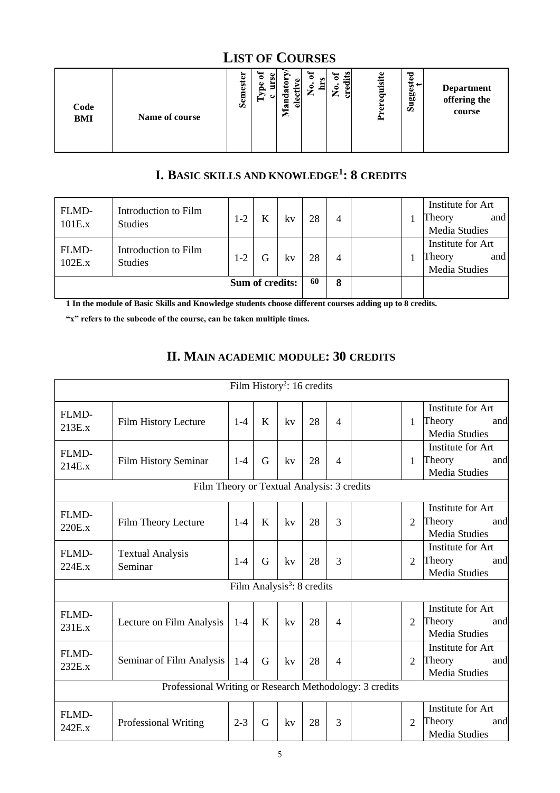# **LIST OF COURSES**

| Code<br><b>BMI</b> | Name of course | ដ<br>est<br>g<br>Ō | ᇹ<br>$\mathbf{e}$<br>≣<br>×.<br>မ၊<br>느 | ڡ<br>0<br>Φ<br>œ<br>ت<br>ರ<br>ಪ<br>∾<br>Σ | s<br><u>ي</u><br>h.<br><b>.</b> | $\ddot{=}$<br>ัธ<br>o<br>$\tilde{\mathsf{z}}$<br>Φ<br>ಕ | equisit<br>ā<br>È | sted<br>t<br>99<br>$\bar{\mathbf{z}}$ | <b>Department</b><br>offering the<br>course |
|--------------------|----------------|--------------------|-----------------------------------------|-------------------------------------------|---------------------------------|---------------------------------------------------------|-------------------|---------------------------------------|---------------------------------------------|
|--------------------|----------------|--------------------|-----------------------------------------|-------------------------------------------|---------------------------------|---------------------------------------------------------|-------------------|---------------------------------------|---------------------------------------------|

# **I. BASIC SKILLS AND KNOWLEDGE<sup>1</sup> : 8 CREDITS**

| FLMD-<br>101E.x | Introduction to Film<br><b>Studies</b> | $1-2$ | K | <b>kv</b> | 28 | 4 |  | Institute for Art<br>and<br>Theory<br><b>Media Studies</b> |
|-----------------|----------------------------------------|-------|---|-----------|----|---|--|------------------------------------------------------------|
| FLMD-<br>102E.x | Introduction to Film<br><b>Studies</b> | $1-2$ |   | <b>kv</b> | 28 | 4 |  | Institute for Art<br>Theory<br>and<br><b>Media Studies</b> |
| Sum of credits: |                                        |       |   |           | 60 | 8 |  |                                                            |

**1 In the module of Basic Skills and Knowledge students choose different courses adding up to 8 credits.** 

**"x" refers to the subcode of the course, can be taken multiple times.** 

# **II. MAIN ACADEMIC MODULE: 30 CREDITS**

|                                            |                                                         |         |   |            | Film History <sup>2</sup> : 16 credits |                |  |                |                                                            |
|--------------------------------------------|---------------------------------------------------------|---------|---|------------|----------------------------------------|----------------|--|----------------|------------------------------------------------------------|
| FLMD-<br>213E.x                            | Film History Lecture                                    | $1-4$   | K | kv         | 28                                     | $\overline{4}$ |  | $\mathbf{1}$   | Institute for Art<br>Theory<br>and<br><b>Media Studies</b> |
| FLMD-<br>214E.x                            | <b>Film History Seminar</b>                             | $1-4$   | G | kv         | 28                                     | $\overline{4}$ |  | 1              | Institute for Art<br>Theory<br>and<br><b>Media Studies</b> |
| Film Theory or Textual Analysis: 3 credits |                                                         |         |   |            |                                        |                |  |                |                                                            |
| FLMD-<br>220E.x                            | Film Theory Lecture                                     | $1-4$   | K | kv         | 28                                     | $\overline{3}$ |  | 2              | Institute for Art<br>Theory<br>and<br><b>Media Studies</b> |
| FLMD-<br>224E.x                            | <b>Textual Analysis</b><br>Seminar                      | $1-4$   | G | k <b>v</b> | 28                                     | 3              |  | 2              | Institute for Art<br>Theory<br>and<br><b>Media Studies</b> |
|                                            |                                                         |         |   |            | Film Analysis <sup>3</sup> : 8 credits |                |  |                |                                                            |
| FLMD-<br>231E.x                            | Lecture on Film Analysis                                | $1-4$   | K | kv         | 28                                     | $\overline{4}$ |  | $\overline{2}$ | Institute for Art<br>Theory<br>and<br><b>Media Studies</b> |
| FLMD-<br>232E.x                            | Seminar of Film Analysis                                | $1 - 4$ | G | k <b>v</b> | 28                                     | $\overline{4}$ |  | $\overline{2}$ | Institute for Art<br>Theory<br>and<br><b>Media Studies</b> |
|                                            | Professional Writing or Research Methodology: 3 credits |         |   |            |                                        |                |  |                |                                                            |
| FLMD-<br>242E.x                            | <b>Professional Writing</b>                             | $2 - 3$ | G | k <b>v</b> | 28                                     | $\overline{3}$ |  | 2              | Institute for Art<br>Theory<br>and<br>Media Studies        |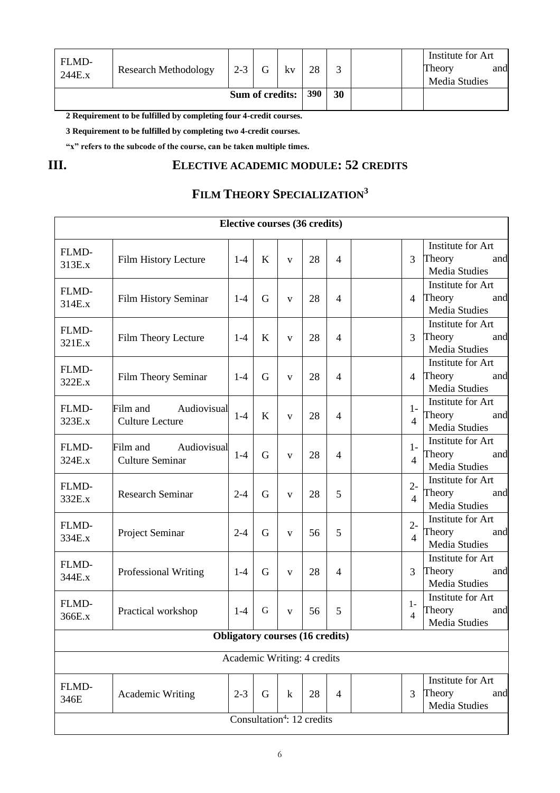| FLMD-<br>244E.x | Research Methodology | $2 - 3$         | C | kv | 28  |    |  | Institute for Art<br>Theory<br>and<br><b>Media Studies</b> |
|-----------------|----------------------|-----------------|---|----|-----|----|--|------------------------------------------------------------|
|                 |                      | Sum of credits: |   |    | 390 | 30 |  |                                                            |

**2 Requirement to be fulfilled by completing four 4-credit courses.** 

**3 Requirement to be fulfilled by completing two 4-credit courses.** 

**"x" refers to the subcode of the course, can be taken multiple times.** 

# **III. ELECTIVE ACADEMIC MODULE: 52 CREDITS**

# **FILM THEORY SPECIALIZATION<sup>3</sup>**

| Elective courses (36 credits) |                                                |         |                                        |              |                                        |                |  |                                                                                       |  |  |  |  |  |
|-------------------------------|------------------------------------------------|---------|----------------------------------------|--------------|----------------------------------------|----------------|--|---------------------------------------------------------------------------------------|--|--|--|--|--|
| FLMD-<br>313E.x               | Film History Lecture                           | $1-4$   | $\bf K$                                | $\mathbf{V}$ | 28                                     | $\overline{4}$ |  | Institute for Art<br>Theory<br>and<br>3<br><b>Media Studies</b>                       |  |  |  |  |  |
| FLMD-<br>314E.x               | Film History Seminar                           | $1-4$   | G                                      | $\mathbf{V}$ | 28                                     | $\overline{4}$ |  | Institute for Art<br>Theory<br>and<br>4<br><b>Media Studies</b>                       |  |  |  |  |  |
| FLMD-<br>321E.x               | Film Theory Lecture                            | $1 - 4$ | K                                      | $\mathbf{V}$ | 28                                     | $\overline{4}$ |  | Institute for Art<br>Theory<br>and<br>3<br><b>Media Studies</b>                       |  |  |  |  |  |
| FLMD-<br>322E.x               | Film Theory Seminar                            | $1 - 4$ | G                                      | $\mathbf{V}$ | 28                                     | $\overline{4}$ |  | Institute for Art<br>Theory<br>and<br>4<br><b>Media Studies</b>                       |  |  |  |  |  |
| FLMD-<br>323E.x               | Film and Audiovisual<br><b>Culture Lecture</b> | $1-4$   | K                                      | V            | 28                                     | $\overline{4}$ |  | Institute for Art<br>$1-$<br>Theory<br>and<br>$\overline{4}$<br><b>Media Studies</b>  |  |  |  |  |  |
| FLMD-<br>324E.x               | Film and Audiovisual<br><b>Culture Seminar</b> | $1-4$   | G                                      | $\mathbf{V}$ | 28                                     | $\overline{4}$ |  | Institute for Art<br>$1-$<br>Theory<br>and<br>$\overline{4}$<br><b>Media Studies</b>  |  |  |  |  |  |
| FLMD-<br>332E.x               | <b>Research Seminar</b>                        | $2 - 4$ | G                                      | $\mathbf{V}$ | 28                                     | 5              |  | Institute for Art<br>$2 -$<br>Theory<br>and<br>$\overline{4}$<br>Media Studies        |  |  |  |  |  |
| FLMD-<br>334E.x               | Project Seminar                                | $2 - 4$ | G                                      | $\mathbf{V}$ | 56                                     | 5              |  | Institute for Art<br>$2 -$<br>Theory<br>and<br>$\overline{4}$<br><b>Media Studies</b> |  |  |  |  |  |
| FLMD-<br>344E.x               | Professional Writing                           | $1 - 4$ | G                                      | $\mathbf{V}$ | 28                                     | $\overline{4}$ |  | Institute for Art<br>Theory<br>and<br>3<br><b>Media Studies</b>                       |  |  |  |  |  |
| FLMD-<br>366E.x               | Practical workshop                             | $1 - 4$ | G                                      | $\mathbf{V}$ | 56                                     | 5              |  | Institute for Art<br>$1 -$<br>Theory<br>and<br>$\overline{4}$<br><b>Media Studies</b> |  |  |  |  |  |
|                               |                                                |         |                                        |              | <b>Obligatory courses (16 credits)</b> |                |  |                                                                                       |  |  |  |  |  |
|                               |                                                |         |                                        |              | Academic Writing: 4 credits            |                |  |                                                                                       |  |  |  |  |  |
| FLMD-<br>346E                 | Academic Writing                               | $2 - 3$ | G                                      | $\bf k$      | 28                                     | $\overline{4}$ |  | Institute for Art<br>Theory<br>3<br>and<br>Media Studies                              |  |  |  |  |  |
|                               |                                                |         | Consultation <sup>4</sup> : 12 credits |              |                                        |                |  |                                                                                       |  |  |  |  |  |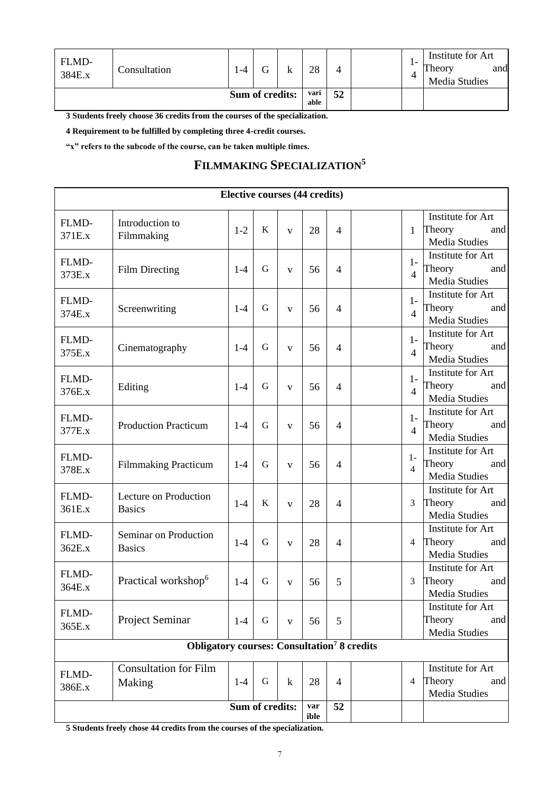| FLMD-<br>384E.x | Consultation | $-4$            |  | 28           | 4  |  | Institute for Art<br>and<br>Theorv<br><b>Media Studies</b> |
|-----------------|--------------|-----------------|--|--------------|----|--|------------------------------------------------------------|
|                 |              | Sum of credits: |  | vari<br>able | 52 |  |                                                            |

**3 Students freely choose 36 credits from the courses of the specialization.** 

**4 Requirement to be fulfilled by completing three 4-credit courses.** 

**"x" refers to the subcode of the course, can be taken multiple times.** 

# **FILMMAKING SPECIALIZATION<sup>5</sup>**

| Elective courses (44 credits) |                                                               |         |         |              |    |                |  |                        |                                                            |  |
|-------------------------------|---------------------------------------------------------------|---------|---------|--------------|----|----------------|--|------------------------|------------------------------------------------------------|--|
| FLMD-<br>371E.x               | Introduction to<br>Filmmaking                                 | $1 - 2$ | $\bf K$ | $\mathbf{V}$ | 28 | $\overline{4}$ |  | $\mathbf{1}$           | Institute for Art<br>Theory<br>and<br><b>Media Studies</b> |  |
| FLMD-<br>373E.x               | <b>Film Directing</b>                                         | $1-4$   | G       | $\mathbf{V}$ | 56 | $\overline{4}$ |  | $1-$<br>$\overline{4}$ | Institute for Art<br>Theory<br>and<br>Media Studies        |  |
| FLMD-<br>374E.x               | Screenwriting                                                 | $1 - 4$ | G       | $\mathbf{V}$ | 56 | $\overline{4}$ |  | $1-$<br>$\overline{4}$ | Institute for Art<br>Theory<br>and<br><b>Media Studies</b> |  |
| FLMD-<br>375E.x               | Cinematography                                                | $1 - 4$ | G       | $\mathbf{V}$ | 56 | $\overline{4}$ |  | $1-$<br>$\overline{4}$ | Institute for Art<br>Theory<br>and<br><b>Media Studies</b> |  |
| FLMD-<br>376E.x               | Editing                                                       | $1-4$   | G       | $\mathbf{V}$ | 56 | $\overline{4}$ |  | $1-$<br>$\overline{4}$ | Institute for Art<br>Theory<br>and<br><b>Media Studies</b> |  |
| FLMD-<br>377E.x               | <b>Production Practicum</b>                                   | $1 - 4$ | G       | $\mathbf{V}$ | 56 | $\overline{4}$ |  | $1-$<br>$\overline{4}$ | Institute for Art<br>Theory<br>and<br>Media Studies        |  |
| FLMD-<br>378E.x               | <b>Filmmaking Practicum</b>                                   | $1 - 4$ | G       | $\mathbf{V}$ | 56 | $\overline{4}$ |  | $1-$<br>$\overline{4}$ | Institute for Art<br>Theory<br>and<br><b>Media Studies</b> |  |
| FLMD-<br>361E.x               | Lecture on Production<br><b>Basics</b>                        | $1-4$   | K       | $\mathbf{V}$ | 28 | $\overline{4}$ |  | 3                      | Institute for Art<br>Theory<br>and<br><b>Media Studies</b> |  |
| FLMD-<br>362E.x               | Seminar on Production<br><b>Basics</b>                        | $1-4$   | G       | V            | 28 | $\overline{4}$ |  | 4                      | Institute for Art<br>Theory<br>and<br>Media Studies        |  |
| FLMD-<br>364E.x               | Practical workshop <sup>6</sup>                               | $1-4$   | G       | $\mathbf{V}$ | 56 | 5              |  | 3                      | Institute for Art<br>Theory<br>and<br><b>Media Studies</b> |  |
| FLMD-<br>365E.x               | Project Seminar                                               | $1-4$   | G       | $\mathbf{V}$ | 56 | 5              |  |                        | Institute for Art<br>Theory<br>and<br><b>Media Studies</b> |  |
|                               | <b>Obligatory courses: Consultation<sup>7</sup> 8 credits</b> |         |         |              |    |                |  |                        |                                                            |  |
| FLMD-<br>386E.x               | <b>Consultation for Film</b><br>Making                        | $1-4$   | G       | $\bf k$      | 28 | 4<br>52        |  | $\overline{4}$         | Institute for Art<br>Theory<br>and<br>Media Studies        |  |
|                               | Sum of credits:                                               |         |         |              |    |                |  |                        |                                                            |  |

**5 Students freely chose 44 credits from the courses of the specialization.**